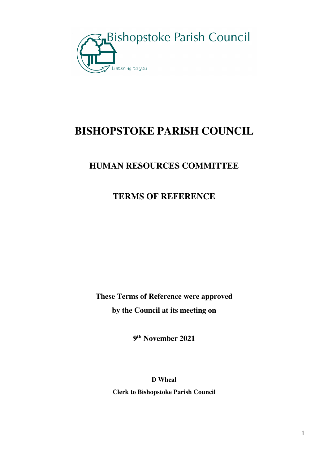

# **BISHOPSTOKE PARISH COUNCIL**

### **HUMAN RESOURCES COMMITTEE**

### **TERMS OF REFERENCE**

**These Terms of Reference were approved by the Council at its meeting on** 

**9 th November 2021** 

**D Wheal** 

**Clerk to Bishopstoke Parish Council**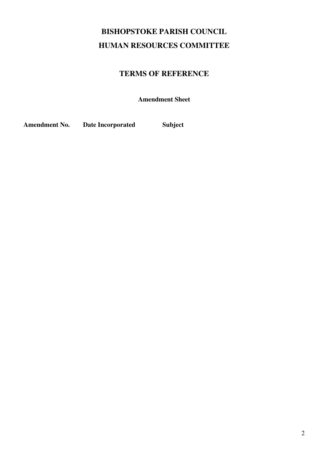## **BISHOPSTOKE PARISH COUNCIL HUMAN RESOURCES COMMITTEE**

### **TERMS OF REFERENCE**

**Amendment Sheet** 

**Amendment No. Date Incorporated Subject**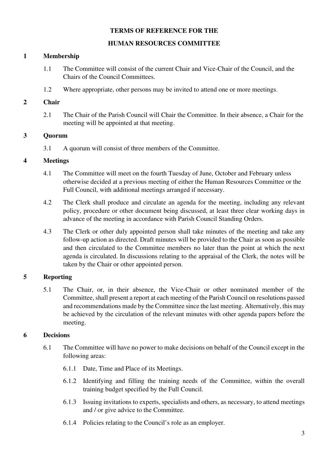#### **TERMS OF REFERENCE FOR THE**

#### **HUMAN RESOURCES COMMITTEE**

#### **1 Membership**

- 1.1 The Committee will consist of the current Chair and Vice-Chair of the Council, and the Chairs of the Council Committees.
- 1.2 Where appropriate, other persons may be invited to attend one or more meetings.

#### **2 Chair**

2.1 The Chair of the Parish Council will Chair the Committee. In their absence, a Chair for the meeting will be appointed at that meeting.

#### **3 Quorum**

3.1 A quorum will consist of three members of the Committee.

#### **4 Meetings**

- 4.1 The Committee will meet on the fourth Tuesday of June, October and February unless otherwise decided at a previous meeting of either the Human Resources Committee or the Full Council, with additional meetings arranged if necessary.
- 4.2 The Clerk shall produce and circulate an agenda for the meeting, including any relevant policy, procedure or other document being discussed, at least three clear working days in advance of the meeting in accordance with Parish Council Standing Orders.
- 4.3 The Clerk or other duly appointed person shall take minutes of the meeting and take any follow-up action as directed. Draft minutes will be provided to the Chair as soon as possible and then circulated to the Committee members no later than the point at which the next agenda is circulated. In discussions relating to the appraisal of the Clerk, the notes will be taken by the Chair or other appointed person.

#### **5 Reporting**

5.1 The Chair, or, in their absence, the Vice-Chair or other nominated member of the Committee, shall present a report at each meeting of the Parish Council on resolutions passed and recommendations made by the Committee since the last meeting. Alternatively, this may be achieved by the circulation of the relevant minutes with other agenda papers before the meeting.

#### **6 Decisions**

- 6.1 The Committee will have no power to make decisions on behalf of the Council except in the following areas:
	- 6.1.1 Date, Time and Place of its Meetings.
	- 6.1.2 Identifying and filling the training needs of the Committee, within the overall training budget specified by the Full Council.
	- 6.1.3 Issuing invitations to experts, specialists and others, as necessary, to attend meetings and / or give advice to the Committee.
	- 6.1.4 Policies relating to the Council's role as an employer.